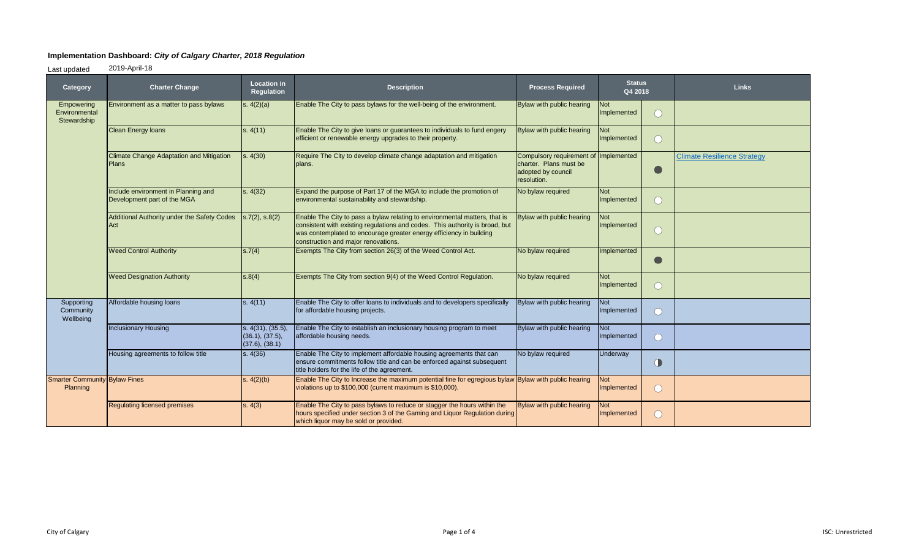## **Implementation Dashboard:** *City of Calgary Charter, 2018 Regulation*

Last updated 2019-April-18

| Category                                         | <b>Charter Change</b>                                              | <b>Location in</b><br>Regulation                       | <b>Description</b>                                                                                                                                                                                                                                                       | <b>Process Required</b>                                                                              | <b>Status</b><br>Q4 2018  |                        | <b>Links</b>                       |
|--------------------------------------------------|--------------------------------------------------------------------|--------------------------------------------------------|--------------------------------------------------------------------------------------------------------------------------------------------------------------------------------------------------------------------------------------------------------------------------|------------------------------------------------------------------------------------------------------|---------------------------|------------------------|------------------------------------|
| Empowering<br>Environmental<br>Stewardship       | Environment as a matter to pass bylaws                             | s. $4(2)(a)$                                           | Enable The City to pass bylaws for the well-being of the environment.                                                                                                                                                                                                    | Bylaw with public hearing                                                                            | <b>Not</b><br>Implemented |                        |                                    |
|                                                  | <b>Clean Energy loans</b>                                          | s. 4(11)                                               | Enable The City to give loans or guarantees to individuals to fund engery<br>efficient or renewable energy upgrades to their property.                                                                                                                                   | Bylaw with public hearing                                                                            | Not<br>Implemented        |                        |                                    |
|                                                  | <b>Climate Change Adaptation and Mitigation</b><br><b>Plans</b>    | s. 4(30)                                               | Require The City to develop climate change adaptation and mitigation<br>plans.                                                                                                                                                                                           | Compulsory requirement of Implemented<br>charter. Plans must be<br>adopted by council<br>resolution. |                           |                        | <b>Climate Resilience Strategy</b> |
|                                                  | Include environment in Planning and<br>Development part of the MGA | s. 4(32)                                               | Expand the purpose of Part 17 of the MGA to include the promotion of<br>environmental sustainability and stewardship.                                                                                                                                                    | No bylaw required                                                                                    | Not<br>Implemented        |                        |                                    |
|                                                  | Additional Authority under the Safety Codes<br>Act                 | s.7(2), s.8(2)                                         | Enable The City to pass a bylaw relating to environmental matters, that is<br>consistent with existing regulations and codes. This authority is broad, but<br>was contemplated to encourage greater energy efficiency in building<br>construction and major renovations. | Bylaw with public hearing                                                                            | <b>Not</b><br>Implemented |                        |                                    |
|                                                  | <b>Weed Control Authority</b>                                      | s.7(4)                                                 | Exempts The City from section 26(3) of the Weed Control Act.                                                                                                                                                                                                             | No bylaw required                                                                                    | Implemented               |                        |                                    |
|                                                  | <b>Weed Designation Authority</b>                                  | s.8(4)                                                 | Exempts The City from section 9(4) of the Weed Control Regulation.                                                                                                                                                                                                       | No bylaw required                                                                                    | <b>Not</b><br>Implemented |                        |                                    |
| Supporting<br>Community<br>Wellbeing             | Affordable housing loans                                           | s. 4(11)                                               | Enable The City to offer loans to individuals and to developers specifically<br>for affordable housing projects.                                                                                                                                                         | Bylaw with public hearing                                                                            | Not<br>Implemented        |                        |                                    |
|                                                  | <b>Inclusionary Housing</b>                                        | s. 4(31), (35.5),<br>(36.1), (37.5),<br>(37.6), (38.1) | Enable The City to establish an inclusionary housing program to meet<br>affordable housing needs.                                                                                                                                                                        | Bylaw with public hearing                                                                            | <b>Not</b><br>Implemented |                        |                                    |
|                                                  | Housing agreements to follow title                                 | s. 4(36)                                               | Enable The City to implement affordable housing agreements that can<br>ensure commitments follow title and can be enforced against subsequent<br>title holders for the life of the agreement.                                                                            | No bylaw required                                                                                    | Underway                  | $\bigcirc$             |                                    |
| <b>Smarter Community Bylaw Fines</b><br>Planning |                                                                    | s. 4(2)(b)                                             | Enable The City to Increase the maximum potential fine for egregious bylaw Bylaw with public hearing<br>violations up to \$100,000 (current maximum is \$10,000).                                                                                                        |                                                                                                      | <b>Not</b><br>Implemented | $\left( \quad \right)$ |                                    |
|                                                  | <b>Regulating licensed premises</b>                                | s. 4(3)                                                | Enable The City to pass bylaws to reduce or stagger the hours within the<br>hours specified under section 3 of the Gaming and Liquor Regulation during<br>which liquor may be sold or provided.                                                                          | Bylaw with public hearing                                                                            | <b>Not</b><br>Implemented |                        |                                    |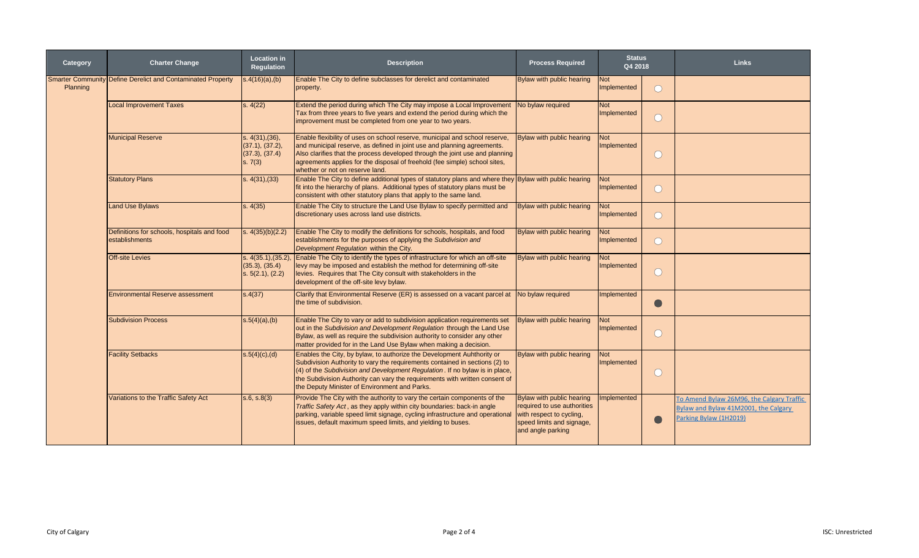| Category | <b>Charter Change</b>                                              | <b>Location in</b><br><b>Regulation</b>                         | <b>Description</b>                                                                                                                                                                                                                                                                                                                                                     | <b>Process Required</b>                                                                                                                | <b>Status</b><br>Q4 2018  |                                               | <b>Links</b>                                                                                                |
|----------|--------------------------------------------------------------------|-----------------------------------------------------------------|------------------------------------------------------------------------------------------------------------------------------------------------------------------------------------------------------------------------------------------------------------------------------------------------------------------------------------------------------------------------|----------------------------------------------------------------------------------------------------------------------------------------|---------------------------|-----------------------------------------------|-------------------------------------------------------------------------------------------------------------|
| Planning | <b>Smarter Community Define Derelict and Contaminated Property</b> | $s.4(16)(a)$ , (b)                                              | Enable The City to define subclasses for derelict and contaminated<br>property.                                                                                                                                                                                                                                                                                        | Bylaw with public hearing                                                                                                              | <b>Not</b><br>Implemented | $\bigcirc$                                    |                                                                                                             |
|          | <b>Local Improvement Taxes</b>                                     | s. 4(22)                                                        | Extend the period during which The City may impose a Local Improvement<br>Tax from three years to five years and extend the period during which the<br>improvement must be completed from one year to two years.                                                                                                                                                       | No bylaw required                                                                                                                      | Not<br>Implemented        | $\bigcirc$                                    |                                                                                                             |
|          | <b>Municipal Reserve</b>                                           | s. 4(31), (36),<br>(37.1), (37.2),<br>(37.3), (37.4)<br>s. 7(3) | Enable flexibility of uses on school reserve, municipal and school reserve,<br>and municipal reserve, as defined in joint use and planning agreements.<br>Also clarifies that the process developed through the joint use and planning<br>agreements applies for the disposal of freehold (fee simple) school sites,<br>whether or not on reserve land.                | Bylaw with public hearing                                                                                                              | <b>Not</b><br>Implemented | $\bigcirc$                                    |                                                                                                             |
|          | <b>Statutory Plans</b>                                             | s. 4(31), (33)                                                  | Enable The City to define additional types of statutory plans and where they Bylaw with public hearing<br>fit into the hierarchy of plans. Additional types of statutory plans must be<br>consistent with other statutory plans that apply to the same land.                                                                                                           |                                                                                                                                        | <b>Not</b><br>Implemented | ∩                                             |                                                                                                             |
|          | <b>Land Use Bylaws</b>                                             | s. 4(35)                                                        | Enable The City to structure the Land Use Bylaw to specify permitted and<br>discretionary uses across land use districts.                                                                                                                                                                                                                                              | Bylaw with public hearing                                                                                                              | <b>Not</b><br>Implemented | ∩                                             |                                                                                                             |
|          | Definitions for schools, hospitals and food<br>establishments      | s. $4(35)(b)(2.2)$                                              | Enable The City to modify the definitions for schools, hospitals, and food<br>establishments for the purposes of applying the Subdivision and<br>Development Regulation within the City.                                                                                                                                                                               | Bylaw with public hearing                                                                                                              | <b>Not</b><br>Implemented | $\left( \begin{array}{c} \end{array} \right)$ |                                                                                                             |
|          | <b>Off-site Levies</b>                                             | s. 4(35.1), (35.2)<br>(35.3), (35.4)<br>s. 5(2.1), (2.2)        | Enable The City to identify the types of infrastructure for which an off-site<br>levy may be imposed and establish the method for determining off-site<br>levies. Requires that The City consult with stakeholders in the<br>development of the off-site levy bylaw.                                                                                                   | Bylaw with public hearing                                                                                                              | <b>Not</b><br>Implemented | $\left( \quad \right)$                        |                                                                                                             |
|          | <b>Environmental Reserve assessment</b>                            | s.4(37)                                                         | Clarify that Environmental Reserve (ER) is assessed on a vacant parcel at<br>the time of subdivision.                                                                                                                                                                                                                                                                  | No bylaw required                                                                                                                      | <b>Implemented</b>        | $\Box$                                        |                                                                                                             |
|          | <b>Subdivision Process</b>                                         | $s.5(4)(a)$ , (b)                                               | Enable The City to vary or add to subdivision application requirements set<br>out in the Subdivision and Development Regulation through the Land Use<br>Bylaw, as well as require the subdivision authority to consider any other<br>matter provided for in the Land Use Bylaw when making a decision.                                                                 | Bylaw with public hearing                                                                                                              | <b>Not</b><br>Implemented |                                               |                                                                                                             |
|          | <b>Facility Setbacks</b>                                           | s.5(4)(c),(d)                                                   | Enables the City, by bylaw, to authorize the Development Auhthority or<br>Subdivision Authority to vary the requirements contained in sections (2) to<br>$(4)$ of the Subdivision and Development Regulation. If no bylaw is in place,<br>the Subdivision Authority can vary the requirements with written consent of<br>the Deputy Minister of Environment and Parks. | <b>Bylaw with public hearing</b>                                                                                                       | <b>Not</b><br>Implemented | $\left( \right)$                              |                                                                                                             |
|          | Variations to the Traffic Safety Act                               | s.6, s.8(3)                                                     | Provide The City with the authority to vary the certain components of the<br>Traffic Safety Act, as they apply within city boundaries: back-in angle<br>parking, variable speed limit signage, cycling infrastructure and operational<br>Issues, default maximum speed limits, and yielding to buses.                                                                  | Bylaw with public hearing<br>required to use authorities<br>with respect to cycling,<br>speed limits and signage.<br>and angle parking | Implemented               |                                               | To Amend Bylaw 26M96, the Calgary Traffic<br>Bylaw and Bylaw 41M2001, the Calgary<br>Parking Bylaw (1H2019) |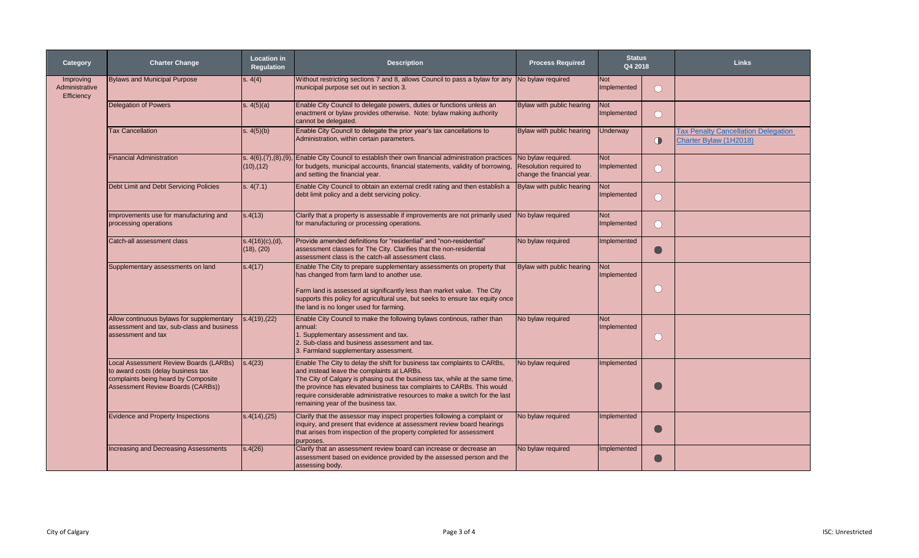| Category                                  | <b>Charter Change</b>                                                                                                                                    | <b>Location in</b><br><b>Regulation</b> | <b>Description</b>                                                                                                                                                                                                                                                                                                                                                                                     | <b>Process Required</b>                                                           | <b>Status</b><br>Q4 2018  |                                               | <b>Links</b>                                                         |
|-------------------------------------------|----------------------------------------------------------------------------------------------------------------------------------------------------------|-----------------------------------------|--------------------------------------------------------------------------------------------------------------------------------------------------------------------------------------------------------------------------------------------------------------------------------------------------------------------------------------------------------------------------------------------------------|-----------------------------------------------------------------------------------|---------------------------|-----------------------------------------------|----------------------------------------------------------------------|
| Improving<br>Administrative<br>Efficiency | <b>Bylaws and Municipal Purpose</b>                                                                                                                      | s. 4(4)                                 | Without restricting sections 7 and 8, allows Council to pass a bylaw for any No bylaw required<br>municipal purpose set out in section 3.                                                                                                                                                                                                                                                              |                                                                                   | <b>Not</b><br>Implemented | ∩                                             |                                                                      |
|                                           | <b>Delegation of Powers</b>                                                                                                                              | s. $4(5)(a)$                            | Enable City Council to delegate powers, duties or functions unless an<br>enactment or bylaw provides otherwise. Note: bylaw making authority<br>cannot be delegated.                                                                                                                                                                                                                                   | Bylaw with public hearing                                                         | <b>Not</b><br>Implemented | ∩                                             |                                                                      |
|                                           | <b>Tax Cancellation</b>                                                                                                                                  | s. $4(5)(b)$                            | Enable City Council to delegate the prior year's tax cancellations to<br>Administration, within certain parameters.                                                                                                                                                                                                                                                                                    | Bylaw with public hearing                                                         | <b>Underway</b>           | $\bigcirc$                                    | <b>Tax Penalty Cancellation Delegation</b><br>Charter Bylaw (1H2018) |
|                                           | <b>Financial Administration</b>                                                                                                                          | s. 4(6), (7), (8), (9)<br>(10), (12)    | Enable City Council to establish their own financial administration practices<br>for budgets, municipal accounts, financial statements, validity of borrowing,<br>and setting the financial year.                                                                                                                                                                                                      | No bylaw required.<br><b>Resolution required to</b><br>change the financial year. | <b>Not</b><br>Implemented | $\left( \begin{array}{c} \end{array} \right)$ |                                                                      |
|                                           | Debt Limit and Debt Servicing Policies                                                                                                                   | s. 4(7.1)                               | Enable City Council to obtain an external credit rating and then establish a<br>debt limit policy and a debt servicing policy.                                                                                                                                                                                                                                                                         | Bylaw with public hearing                                                         | <b>Not</b><br>Implemented | ◯                                             |                                                                      |
|                                           | Improvements use for manufacturing and<br>processing operations                                                                                          | s.4(13)                                 | Clarify that a property is assessable if improvements are not primarily used<br>for manufacturing or processing operations.                                                                                                                                                                                                                                                                            | No bylaw required                                                                 | <b>Not</b><br>Implemented | ∩                                             |                                                                      |
|                                           | Catch-all assessment class                                                                                                                               | s.4(16)(c), (d),<br>(18), (20)          | Provide amended definitions for "residential" and "non-residential"<br>assessment classes for The City. Clarifies that the non-residential<br>assessment class is the catch-all assessment class.                                                                                                                                                                                                      | No bylaw required                                                                 | Implemented               |                                               |                                                                      |
|                                           | Supplementary assessments on land                                                                                                                        | s.4(17)                                 | Enable The City to prepare supplementary assessments on property that<br>has changed from farm land to another use.<br>Farm land is assessed at significantly less than market value. The City<br>supports this policy for agricultural use, but seeks to ensure tax equity once<br>the land is no longer used for farming.                                                                            | Bylaw with public hearing                                                         | Not<br>Implemented        | ∩                                             |                                                                      |
|                                           | Allow continuous bylaws for supplementary<br>assessment and tax, sub-class and business<br>assessment and tax                                            | s.4(19),(22)                            | Enable City Council to make the following bylaws continous, rather than<br>annual:<br>1. Supplementary assessment and tax.<br>2. Sub-class and business assessment and tax.<br>3. Farmland supplementary assessment.                                                                                                                                                                                   | No bylaw required                                                                 | <b>Not</b><br>Implemented | ∩                                             |                                                                      |
|                                           | Local Assessment Review Boards (LARBs)<br>to award costs (delay business tax<br>complaints being heard by Composite<br>Assessment Review Boards (CARBs)) | s.4(23)                                 | Enable The City to delay the shift for business tax complaints to CARBs,<br>and instead leave the complaints at LARBs.<br>The City of Calgary is phasing out the business tax, while at the same time,<br>the province has elevated business tax complaints to CARBs. This would<br>require considerable administrative resources to make a switch for the last<br>remaining year of the business tax. | No bylaw required                                                                 | Implemented               |                                               |                                                                      |
|                                           | Evidence and Property Inspections                                                                                                                        | s.4(14),(25)                            | Clarify that the assessor may inspect properties following a complaint or<br>inquiry, and present that evidence at assessment review board hearings<br>that arises from inspection of the property completed for assessment<br>purposes.                                                                                                                                                               | No bylaw required                                                                 | Implemented               |                                               |                                                                      |
|                                           | <b>Increasing and Decreasing Assessments</b>                                                                                                             | s.4(26)                                 | Clarify that an assessment review board can increase or decrease an<br>assessment based on evidence provided by the assessed person and the<br>assessing body.                                                                                                                                                                                                                                         | No bylaw required                                                                 | Implemented               | $\bigodot$                                    |                                                                      |